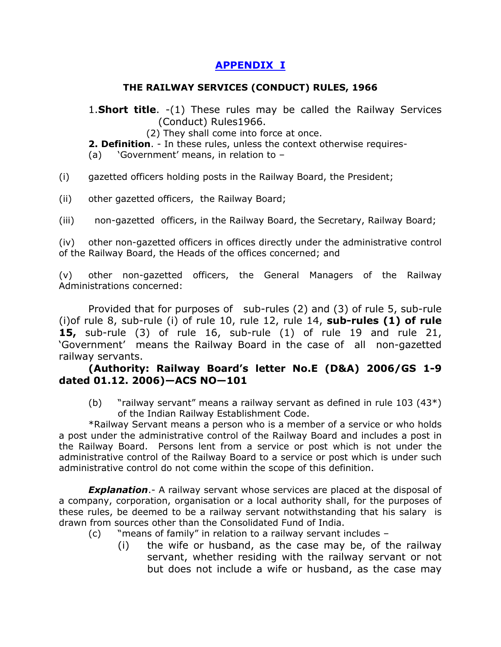"  $#$  $#$  $\frac{4}{3}$   $\frac{1}{3}$  $\pm 1$  $#$  $$ \%$ 

 $( )$  $\begin{pmatrix} * & * \end{pmatrix}$  $\mathbf{1}$  ,  $\mathbf{1}$  $\pm$  $( )$  $\sim 1$  $\ddot{+}$  $\begin{array}{ccc} & 1 & 1 \\ 1 & 1 & 1 \\ 1 & 1 & 1 \\ 1 & 1 & 1 \\ 1 & 1 & 1 \\ 1 & 1 & 1 \\ 1 & 1 & 1 \\ 1 & 1 & 1 \\ 1 & 1 & 1 \\ 1 & 1 & 1 \\ 1 & 1 & 1 \\ 1 & 1 & 1 \\ 1 & 1 & 1 \\ 1 & 1 & 1 \\ 1 & 1 & 1 & 1 \\ 1 & 1 & 1 & 1 \\ 1 & 1 & 1 & 1 \\ 1 & 1 & 1 & 1 \\ 1 & 1 & 1 & 1 \\ 1 & 1 & 1 & 1 \\ 1 & 1 & 1 & 1 \\ 1 & 1$  $\Gamma$  and  $\Gamma$  and  $\Gamma$  $\ddot{+}$  $\mathbf{I}$  $\begin{matrix} \begin{matrix} \cdot & \cdot & \cdot \\ \cdot & \cdot & \cdot \end{matrix} \\ + & \begin{matrix} \cdot & \cdot & \cdot \\ \cdot & \cdot & \cdot \end{matrix} \end{matrix}$  $\mathbb{Z}$ 

 $\sqrt{2}$  $\%$  $( )$  $\sim 1$  .  $\mathbf{1}$ 

 $\overline{0}$ 

 $\star$  $5!$   $\begin{array}{ccc} & 2 & 3! \\ 5! & 1 & 6! \$   $6! \$   $6! \$   $6! \$   $8 \% \$   $8 \frac{1}{2} \% \$   $8 \frac{1}{2} \% \$  $\begin{array}{c} \hline \end{array}$ , 4!  $\mathbf{I}^{\top}$  $\overline{2}$  $\sim$  1  $\left($  $\alpha$  $\sin 96$  $\left(\begin{array}{c} \end{array}\right)$  $\rightarrow$ %  $)*+ , +) - + ./\$$ <br>
. 1 ! ! 11 4 4 1  $1123$  $\mathbf{I}$   $\mathbf{O}$ 

 $. +$ 52 629  $\overline{7}$  $\overline{\mathbf{8}}$  $\vdots$  $\boldsymbol{9}$  $\star$  $\ddot{}$  $\ddot{}$  $\overline{\phantom{a}}$ 

 $\ddot{}$  $\begin{array}{c} 0 \\ 1 \end{array}$  $\star$  $\star$  $\mathbf{I}$  $\mathbf{I}$  $\mathbf{I}$  $\overline{(\ }$  $\vdots$  $\overline{7}$  $\overline{\mathbf{8}}$  $\mathbf{I}$  $\mathbf{I}$  $\mathbf{I}$  .  $\overline{(\ }$  $\mathbf{I}$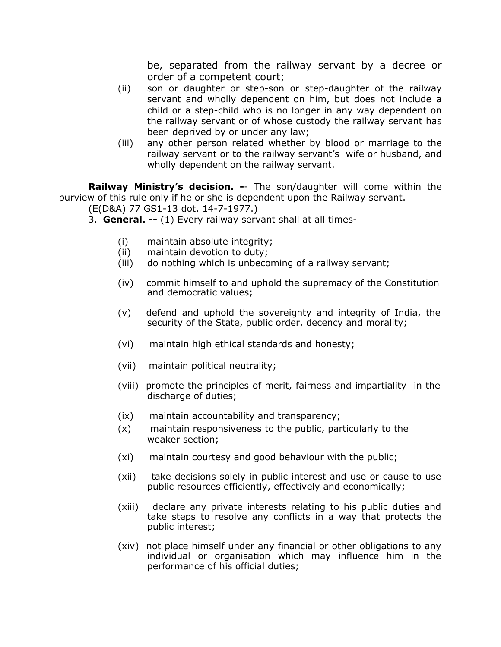be, separated from the railway servant by a decree or order of a competent court;

- (ii) son or daughter or step-son or step-daughter of the railway servant and wholly dependent on him, but does not include a child or a step-child who is no longer in any way dependent on the railway servant or of whose custody the railway servant has been deprived by or under any law;
- (iii) any other person related whether by blood or marriage to the railway servant or to the railway servant's wife or husband, and wholly dependent on the railway servant.

**Railway Ministry's decision. -**- The son/daughter will come within the purview of this rule only if he or she is dependent upon the Railway servant.

- (E(D&A) 77 GS1-13 dot. 14-7-1977.)
	- 3. **General. --** (1) Every railway servant shall at all times-
		- (i) maintain absolute integrity;
		- (ii) maintain devotion to duty;
		- (iii) do nothing which is unbecoming of a railway servant;
		- (iv) commit himself to and uphold the supremacy of the Constitution and democratic values;
		- (v) defend and uphold the sovereignty and integrity of India, the security of the State, public order, decency and morality;
		- (vi) maintain high ethical standards and honesty;
		- (vii) maintain political neutrality;
		- (viii) promote the principles of merit, fairness and impartiality in the discharge of duties;
		- (ix) maintain accountability and transparency;
		- (x) maintain responsiveness to the public, particularly to the weaker section;
		- (xi) maintain courtesy and good behaviour with the public;
		- (xii) take decisions solely in public interest and use or cause to use public resources efficiently, effectively and economically;
		- (xiii) declare any private interests relating to his public duties and take steps to resolve any conflicts in a way that protects the public interest;
		- (xiv) not place himself under any financial or other obligations to any individual or organisation which may influence him in the performance of his official duties;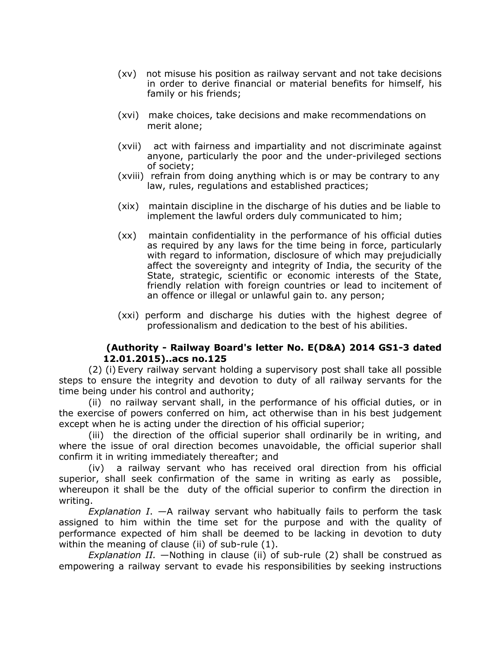- (xv) not misuse his position as railway servant and not take decisions in order to derive financial or material benefits for himself, his family or his friends;
- (xvi) make choices, take decisions and make recommendations on merit alone;
- (xvii) act with fairness and impartiality and not discriminate against anyone, particularly the poor and the under-privileged sections of society;
- (xviii) refrain from doing anything which is or may be contrary to any law, rules, regulations and established practices;
- (xix) maintain discipline in the discharge of his duties and be liable to implement the lawful orders duly communicated to him;
- (xx) maintain confidentiality in the performance of his official duties as required by any laws for the time being in force, particularly with regard to information, disclosure of which may prejudicially affect the sovereignty and integrity of India, the security of the State, strategic, scientific or economic interests of the State, friendly relation with foreign countries or lead to incitement of an offence or illegal or unlawful gain to. any person;
- (xxi) perform and discharge his duties with the highest degree of professionalism and dedication to the best of his abilities.

### **(Authority - Railway Board's letter No. E(D&A) 2014 GS1-3 dated 12.01.2015)..acs no.125**

(2) (i) Every railway servant holding a supervisory post shall take all possible steps to ensure the integrity and devotion to duty of all railway servants for the time being under his control and authority;

(ii) no railway servant shall, in the performance of his official duties, or in the exercise of powers conferred on him, act otherwise than in his best judgement except when he is acting under the direction of his official superior;

(iii) the direction of the official superior shall ordinarily be in writing, and where the issue of oral direction becomes unavoidable, the official superior shall confirm it in writing immediately thereafter; and

(iv) a railway servant who has received oral direction from his official superior, shall seek confirmation of the same in writing as early as possible, whereupon it shall be the duty of the official superior to confirm the direction in writing.

*Explanation I*. —A railway servant who habitually fails to perform the task assigned to him within the time set for the purpose and with the quality of performance expected of him shall be deemed to be lacking in devotion to duty within the meaning of clause (ii) of sub-rule (1).

*Explanation II.* —Nothing in clause (ii) of sub-rule (2) shall be construed as empowering a railway servant to evade his responsibilities by seeking instructions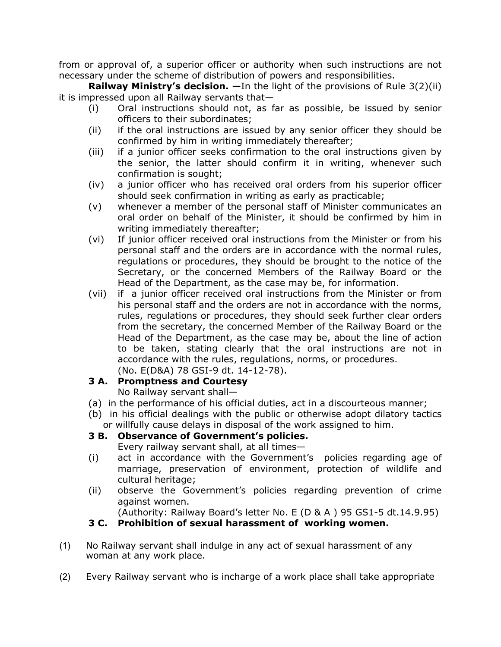from or approval of, a superior officer or authority when such instructions are not necessary under the scheme of distribution of powers and responsibilities.

**Railway Ministry's decision. —**In the light of the provisions of Rule 3(2)(ii) it is impressed upon all Railway servants that—

- (i) Oral instructions should not, as far as possible, be issued by senior officers to their subordinates;
- (ii) if the oral instructions are issued by any senior officer they should be confirmed by him in writing immediately thereafter;
- (iii) if a junior officer seeks confirmation to the oral instructions given by the senior, the latter should confirm it in writing, whenever such confirmation is sought;
- (iv) a junior officer who has received oral orders from his superior officer should seek confirmation in writing as early as practicable;
- (v) whenever a member of the personal staff of Minister communicates an oral order on behalf of the Minister, it should be confirmed by him in writing immediately thereafter;
- (vi) If junior officer received oral instructions from the Minister or from his personal staff and the orders are in accordance with the normal rules, regulations or procedures, they should be brought to the notice of the Secretary, or the concerned Members of the Railway Board or the Head of the Department, as the case may be, for information.
- (vii) if a junior officer received oral instructions from the Minister or from his personal staff and the orders are not in accordance with the norms, rules, regulations or procedures, they should seek further clear orders from the secretary, the concerned Member of the Railway Board or the Head of the Department, as the case may be, about the line of action to be taken, stating clearly that the oral instructions are not in accordance with the rules, regulations, norms, or procedures.

# (No. E(D&A) 78 GSI-9 dt. 14-12-78).

# **3 A. Promptness and Courtesy**

No Railway servant shall—

- (a) in the performance of his official duties, act in a discourteous manner;
- (b) in his official dealings with the public or otherwise adopt dilatory tactics or willfully cause delays in disposal of the work assigned to him.

# **3 B. Observance of Government's policies.**

Every railway servant shall, at all times—

- (i) act in accordance with the Government's policies regarding age of marriage, preservation of environment, protection of wildlife and cultural heritage;
- (ii) observe the Government's policies regarding prevention of crime against women.

(Authority: Railway Board's letter No. E (D & A ) 95 GS1-5 dt.14.9.95)

# **3 C. Prohibition of sexual harassment of working women.**

- (1) No Railway servant shall indulge in any act of sexual harassment of any woman at any work place.
- (2) Every Railway servant who is incharge of a work place shall take appropriate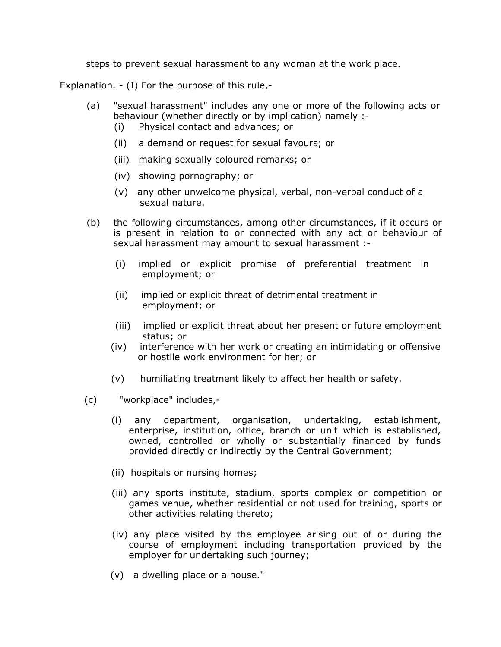steps to prevent sexual harassment to any woman at the work place.

Explanation. - (I) For the purpose of this rule,-

- (a) "sexual harassment" includes any one or more of the following acts or behaviour (whether directly or by implication) namely :-
	- (i) Physical contact and advances; or
	- (ii) a demand or request for sexual favours; or
	- (iii) making sexually coloured remarks; or
	- (iv) showing pornography; or
	- (v) any other unwelcome physical, verbal, non-verbal conduct of a sexual nature.
- (b) the following circumstances, among other circumstances, if it occurs or is present in relation to or connected with any act or behaviour of sexual harassment may amount to sexual harassment :-
	- (i) implied or explicit promise of preferential treatment in employment; or
	- (ii) implied or explicit threat of detrimental treatment in employment; or
	- (iii) implied or explicit threat about her present or future employment status; or
	- (iv) interference with her work or creating an intimidating or offensive or hostile work environment for her; or
	- (v) humiliating treatment likely to affect her health or safety.
- (c) "workplace" includes,-
	- (i) any department, organisation, undertaking, establishment, enterprise, institution, office, branch or unit which is established, owned, controlled or wholly or substantially financed by funds provided directly or indirectly by the Central Government;
	- (ii) hospitals or nursing homes;
	- (iii) any sports institute, stadium, sports complex or competition or games venue, whether residential or not used for training, sports or other activities relating thereto;
	- (iv) any place visited by the employee arising out of or during the course of employment including transportation provided by the employer for undertaking such journey;
	- (v) a dwelling place or a house."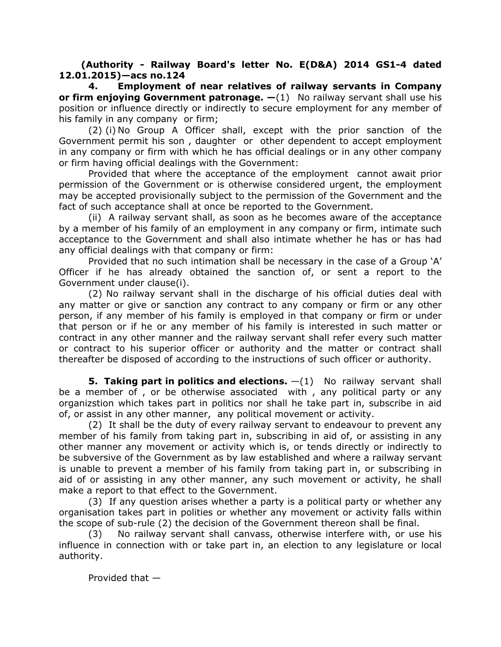**(Authority - Railway Board's letter No. E(D&A) 2014 GS1-4 dated 12.01.2015)—acs no.124**

**4. Employment of near relatives of railway servants in Company or firm enjoying Government patronage. —**(1) No railway servant shall use his position or influence directly or indirectly to secure employment for any member of his family in any company or firm;

(2) (i) No Group A Officer shall, except with the prior sanction of the Government permit his son , daughter or other dependent to accept employment in any company or firm with which he has official dealings or in any other company or firm having official dealings with the Government:

Provided that where the acceptance of the employment cannot await prior permission of the Government or is otherwise considered urgent, the employment may be accepted provisionally subject to the permission of the Government and the fact of such acceptance shall at once be reported to the Government.

(ii) A railway servant shall, as soon as he becomes aware of the acceptance by a member of his family of an employment in any company or firm, intimate such acceptance to the Government and shall also intimate whether he has or has had any official dealings with that company or firm:

Provided that no such intimation shall be necessary in the case of a Group 'A' Officer if he has already obtained the sanction of, or sent a report to the Government under clause(i).

(2) No railway servant shall in the discharge of his official duties deal with any matter or give or sanction any contract to any company or firm or any other person, if any member of his family is employed in that company or firm or under that person or if he or any member of his family is interested in such matter or contract in any other manner and the railway servant shall refer every such matter or contract to his superior officer or authority and the matter or contract shall thereafter be disposed of according to the instructions of such officer or authority.

**5. Taking part in politics and elections.** —(1) No railway servant shall be a member of , or be otherwise associated with , any political party or any organizstion which takes part in politics nor shall he take part in, subscribe in aid of, or assist in any other manner, any political movement or activity.

(2) It shall be the duty of every railway servant to endeavour to prevent any member of his family from taking part in, subscribing in aid of, or assisting in any other manner any movement or activity which is, or tends directly or indirectly to be subversive of the Government as by law established and where a railway servant is unable to prevent a member of his family from taking part in, or subscribing in aid of or assisting in any other manner, any such movement or activity, he shall make a report to that effect to the Government.

(3) If any question arises whether a party is a political party or whether any organisation takes part in polities or whether any movement or activity falls within the scope of sub-rule (2) the decision of the Government thereon shall be final.

(3) No railway servant shall canvass, otherwise interfere with, or use his influence in connection with or take part in, an election to any legislature or local authority.

Provided that —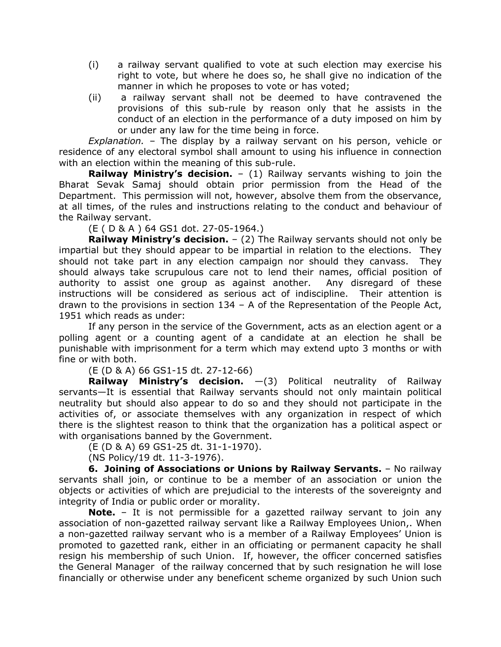- (i) a railway servant qualified to vote at such election may exercise his right to vote, but where he does so, he shall give no indication of the manner in which he proposes to vote or has voted;
- (ii) a railway servant shall not be deemed to have contravened the provisions of this sub-rule by reason only that he assists in the conduct of an election in the performance of a duty imposed on him by or under any law for the time being in force.

*Explanation.* – The display by a railway servant on his person, vehicle or residence of any electoral symbol shall amount to using his influence in connection with an election within the meaning of this sub-rule.

**Railway Ministry's decision.** – (1) Railway servants wishing to join the Bharat Sevak Samaj should obtain prior permission from the Head of the Department. This permission will not, however, absolve them from the observance, at all times, of the rules and instructions relating to the conduct and behaviour of the Railway servant.

(E ( D & A ) 64 GS1 dot. 27-05-1964.)

**Railway Ministry's decision.** – (2) The Railway servants should not only be impartial but they should appear to be impartial in relation to the elections. They should not take part in any election campaign nor should they canvass. They should always take scrupulous care not to lend their names, official position of authority to assist one group as against another. Any disregard of these instructions will be considered as serious act of indiscipline. Their attention is drawn to the provisions in section 134 – A of the Representation of the People Act, 1951 which reads as under:

If any person in the service of the Government, acts as an election agent or a polling agent or a counting agent of a candidate at an election he shall be punishable with imprisonment for a term which may extend upto 3 months or with fine or with both.

(E (D & A) 66 GS1-15 dt. 27-12-66)

**Railway Ministry's decision.** —(3) Political neutrality of Railway servants—It is essential that Railway servants should not only maintain political neutrality but should also appear to do so and they should not participate in the activities of, or associate themselves with any organization in respect of which there is the slightest reason to think that the organization has a political aspect or with organisations banned by the Government.

(E (D & A) 69 GS1-25 dt. 31-1-1970).

(NS Policy/19 dt. 11-3-1976).

**6. Joining of Associations or Unions by Railway Servants.** – No railway servants shall join, or continue to be a member of an association or union the objects or activities of which are prejudicial to the interests of the sovereignty and integrity of India or public order or morality.

**Note.** – It is not permissible for a gazetted railway servant to join any association of non-gazetted railway servant like a Railway Employees Union,. When a non-gazetted railway servant who is a member of a Railway Employees' Union is promoted to gazetted rank, either in an officiating or permanent capacity he shall resign his membership of such Union. If, however, the officer concerned satisfies the General Manager of the railway concerned that by such resignation he will lose financially or otherwise under any beneficent scheme organized by such Union such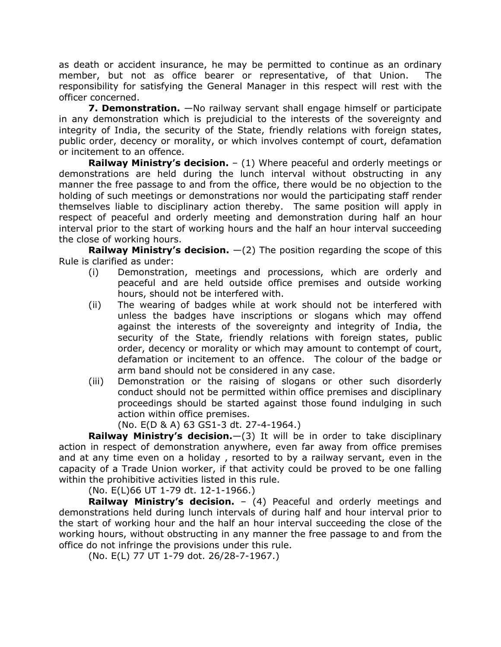as death or accident insurance, he may be permitted to continue as an ordinary member, but not as office bearer or representative, of that Union. The responsibility for satisfying the General Manager in this respect will rest with the officer concerned.

**7. Demonstration.** —No railway servant shall engage himself or participate in any demonstration which is prejudicial to the interests of the sovereignty and integrity of India, the security of the State, friendly relations with foreign states, public order, decency or morality, or which involves contempt of court, defamation or incitement to an offence.

**Railway Ministry's decision.** – (1) Where peaceful and orderly meetings or demonstrations are held during the lunch interval without obstructing in any manner the free passage to and from the office, there would be no objection to the holding of such meetings or demonstrations nor would the participating staff render themselves liable to disciplinary action thereby. The same position will apply in respect of peaceful and orderly meeting and demonstration during half an hour interval prior to the start of working hours and the half an hour interval succeeding the close of working hours.

**Railway Ministry's decision.** —(2) The position regarding the scope of this Rule is clarified as under:

- (i) Demonstration, meetings and processions, which are orderly and peaceful and are held outside office premises and outside working hours, should not be interfered with.
- (ii) The wearing of badges while at work should not be interfered with unless the badges have inscriptions or slogans which may offend against the interests of the sovereignty and integrity of India, the security of the State, friendly relations with foreign states, public order, decency or morality or which may amount to contempt of court, defamation or incitement to an offence. The colour of the badge or arm band should not be considered in any case.
- (iii) Demonstration or the raising of slogans or other such disorderly conduct should not be permitted within office premises and disciplinary proceedings should be started against those found indulging in such action within office premises.

(No. E(D & A) 63 GS1-3 dt. 27-4-1964.)

**Railway Ministry's decision.**—(3) It will be in order to take disciplinary action in respect of demonstration anywhere, even far away from office premises and at any time even on a holiday , resorted to by a railway servant, even in the capacity of a Trade Union worker, if that activity could be proved to be one falling within the prohibitive activities listed in this rule.

(No. E(L)66 UT 1-79 dt. 12-1-1966.)

**Railway Ministry's decision.** – (4) Peaceful and orderly meetings and demonstrations held during lunch intervals of during half and hour interval prior to the start of working hour and the half an hour interval succeeding the close of the working hours, without obstructing in any manner the free passage to and from the office do not infringe the provisions under this rule.

(No. E(L) 77 UT 1-79 dot. 26/28-7-1967.)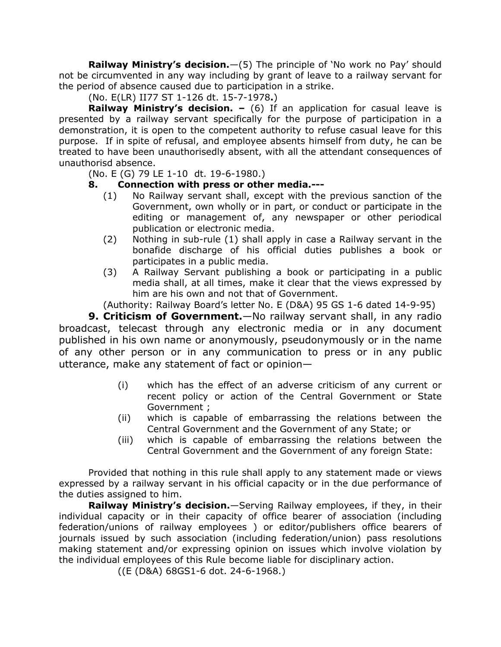**Railway Ministry's decision.**—(5) The principle of 'No work no Pay' should not be circumvented in any way including by grant of leave to a railway servant for the period of absence caused due to participation in a strike.

(No. E(LR) II77 ST 1-126 dt. 15-7-1978**.**)

**Railway Ministry's decision. –** (6) If an application for casual leave is presented by a railway servant specifically for the purpose of participation in a demonstration, it is open to the competent authority to refuse casual leave for this purpose. If in spite of refusal, and employee absents himself from duty, he can be treated to have been unauthorisedly absent, with all the attendant consequences of unauthorisd absence.

(No. E (G) 79 LE 1-10 dt. 19-6-1980.)

## **8. Connection with press or other media.---**

- (1) No Railway servant shall, except with the previous sanction of the Government, own wholly or in part, or conduct or participate in the editing or management of, any newspaper or other periodical publication or electronic media.
- (2) Nothing in sub-rule (1) shall apply in case a Railway servant in the bonafide discharge of his official duties publishes a book or participates in a public media.
- (3) A Railway Servant publishing a book or participating in a public media shall, at all times, make it clear that the views expressed by him are his own and not that of Government.

(Authority: Railway Board's letter No. E (D&A) 95 GS 1-6 dated 14-9-95)

**9. Criticism of Government.**—No railway servant shall, in any radio broadcast, telecast through any electronic media or in any document published in his own name or anonymously, pseudonymously or in the name of any other person or in any communication to press or in any public utterance, make any statement of fact or opinion—

- (i) which has the effect of an adverse criticism of any current or recent policy or action of the Central Government or State Government ;
- (ii) which is capable of embarrassing the relations between the Central Government and the Government of any State; or
- (iii) which is capable of embarrassing the relations between the Central Government and the Government of any foreign State:

Provided that nothing in this rule shall apply to any statement made or views expressed by a railway servant in his official capacity or in the due performance of the duties assigned to him.

**Railway Ministry's decision.**—Serving Railway employees, if they, in their individual capacity or in their capacity of office bearer of association (including federation/unions of railway employees ) or editor/publishers office bearers of journals issued by such association (including federation/union) pass resolutions making statement and/or expressing opinion on issues which involve violation by the individual employees of this Rule become liable for disciplinary action.

((E (D&A) 68GS1-6 dot. 24-6-1968.)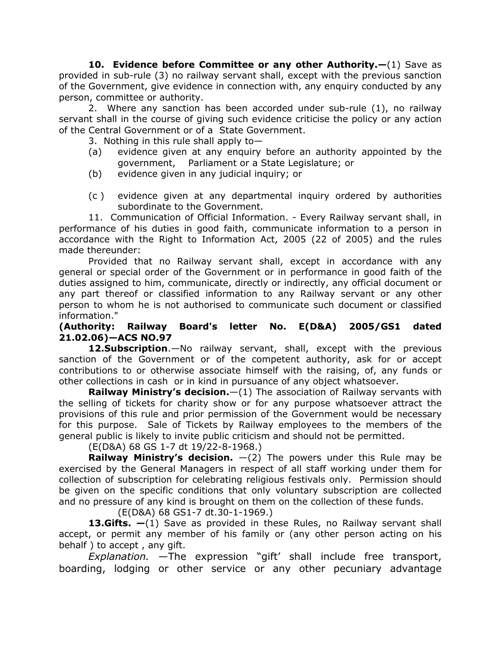**10. Evidence before Committee or any other Authority.—**(1) Save as provided in sub-rule (3) no railway servant shall, except with the previous sanction of the Government, give evidence in connection with, any enquiry conducted by any person, committee or authority.

2. Where any sanction has been accorded under sub-rule (1), no railway servant shall in the course of giving such evidence criticise the policy or any action of the Central Government or of a State Government.

- 3. Nothing in this rule shall apply to  $-$
- (a) evidence given at any enquiry before an authority appointed by the government, Parliament or a State Legislature; or
- (b) evidence given in any judicial inquiry; or
- (c ) evidence given at any departmental inquiry ordered by authorities subordinate to the Government.

11. Communication of Official Information. - Every Railway servant shall, in performance of his duties in good faith, communicate information to a person in accordance with the Right to Information Act, 2005 (22 of 2005) and the rules made thereunder:

Provided that no Railway servant shall, except in accordance with any general or special order of the Government or in performance in good faith of the duties assigned to him, communicate, directly or indirectly, any official document or any part thereof or classified information to any Railway servant or any other person to whom he is not authorised to communicate such document or classified information."

### **(Authority: Railway Board's letter No. E(D&A) 2005/GS1 dated 21.02.06)—ACS NO.97**

**12.Subscription**.—No railway servant, shall, except with the previous sanction of the Government or of the competent authority, ask for or accept contributions to or otherwise associate himself with the raising, of, any funds or other collections in cash or in kind in pursuance of any object whatsoever.

**Railway Ministry's decision.**—(1) The association of Railway servants with the selling of tickets for charity show or for any purpose whatsoever attract the provisions of this rule and prior permission of the Government would be necessary for this purpose. Sale of Tickets by Railway employees to the members of the general public is likely to invite public criticism and should not be permitted.

(E(D&A) 68 GS 1-7 dt 19/22-8-1968.)

**Railway Ministry's decision.** —(2) The powers under this Rule may be exercised by the General Managers in respect of all staff working under them for collection of subscription for celebrating religious festivals only. Permission should be given on the specific conditions that only voluntary subscription are collected and no pressure of any kind is brought on them on the collection of these funds.

(E(D&A) 68 GS1-7 dt.30-1-1969.)

**13.Gifts. —**(1) Save as provided in these Rules, no Railway servant shall accept, or permit any member of his family or (any other person acting on his behalf ) to accept , any gift.

*Explanation.* —The expression "gift' shall include free transport, boarding, lodging or other service or any other pecuniary advantage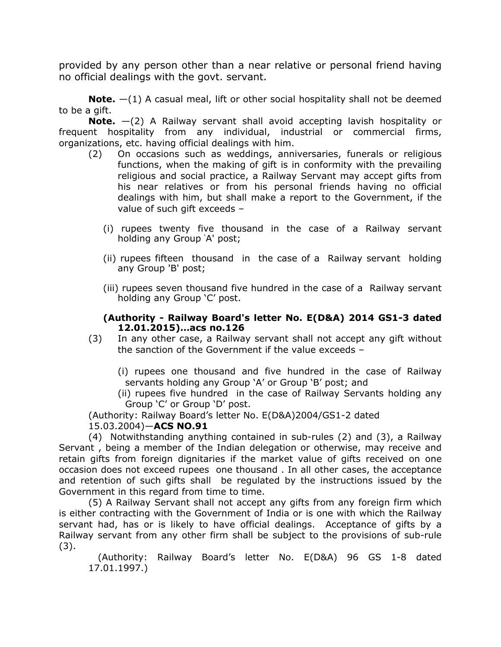provided by any person other than a near relative or personal friend having no official dealings with the govt. servant.

**Note.** —(1) A casual meal, lift or other social hospitality shall not be deemed to be a gift.

**Note.** —(2) A Railway servant shall avoid accepting lavish hospitality or frequent hospitality from any individual, industrial or commercial firms, organizations, etc. having official dealings with him.

- (2) On occasions such as weddings, anniversaries, funerals or religious functions, when the making of gift is in conformity with the prevailing religious and social practice, a Railway Servant may accept gifts from his near relatives or from his personal friends having no official dealings with him, but shall make a report to the Government, if the value of such gift exceeds –
	- (i) rupees twenty five thousand in the case of a Railway servant holding any Group 'A' post;
	- (ii) rupees fifteen thousand in the case of a Railway servant holding any Group 'B' post;
	- (iii) rupees seven thousand five hundred in the case of a Railway servant holding any Group 'C' post.

### **(Authority - Railway Board's letter No. E(D&A) 2014 GS1-3 dated 12.01.2015)…acs no.126**

- (3) In any other case, a Railway servant shall not accept any gift without the sanction of the Government if the value exceeds –
	- (i) rupees one thousand and five hundred in the case of Railway servants holding any Group 'A' or Group 'B' post; and
	- (ii) rupees five hundred in the case of Railway Servants holding any Group 'C' or Group 'D' post.

(Authority: Railway Board's letter No. E(D&A)2004/GS1-2 dated 15.03.2004)—**ACS NO.91**

(4) Notwithstanding anything contained in sub-rules (2) and (3), a Railway Servant , being a member of the Indian delegation or otherwise, may receive and retain gifts from foreign dignitaries if the market value of gifts received on one occasion does not exceed rupees one thousand . In all other cases, the acceptance and retention of such gifts shall be regulated by the instructions issued by the Government in this regard from time to time.

(5) A Railway Servant shall not accept any gifts from any foreign firm which is either contracting with the Government of India or is one with which the Railway servant had, has or is likely to have official dealings. Acceptance of gifts by a Railway servant from any other firm shall be subject to the provisions of sub-rule (3).

 (Authority: Railway Board's letter No. E(D&A) 96 GS 1-8 dated 17.01.1997.)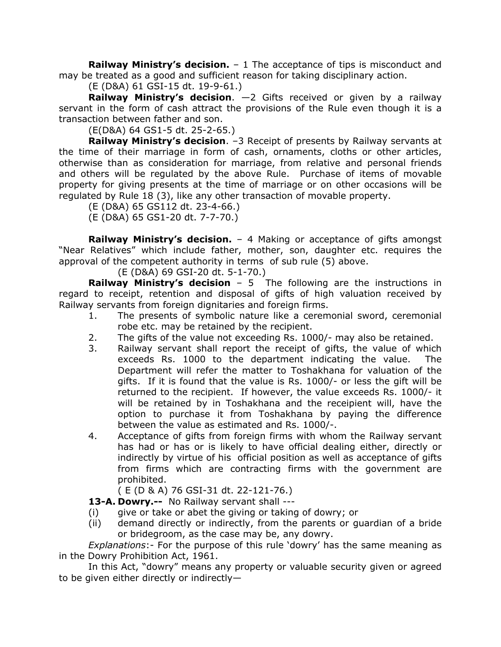**Railway Ministry's decision.** – 1 The acceptance of tips is misconduct and may be treated as a good and sufficient reason for taking disciplinary action.

(E (D&A) 61 GSI-15 dt. 19-9-61.)

**Railway Ministry's decision**. —2 Gifts received or given by a railway servant in the form of cash attract the provisions of the Rule even though it is a transaction between father and son.

(E(D&A) 64 GS1-5 dt. 25-2-65.)

**Railway Ministry's decision**. –3 Receipt of presents by Railway servants at the time of their marriage in form of cash, ornaments, cloths or other articles, otherwise than as consideration for marriage, from relative and personal friends and others will be regulated by the above Rule. Purchase of items of movable property for giving presents at the time of marriage or on other occasions will be regulated by Rule 18 (3), like any other transaction of movable property.

(E (D&A) 65 GS112 dt. 23-4-66.)

(E (D&A) 65 GS1-20 dt. 7-7-70.)

**Railway Ministry's decision.** – 4 Making or acceptance of gifts amongst "Near Relatives" which include father, mother, son, daughter etc. requires the approval of the competent authority in terms of sub rule (5) above.

(E (D&A) 69 GSI-20 dt. 5-1-70.)

**Railway Ministry's decision** – 5 The following are the instructions in regard to receipt, retention and disposal of gifts of high valuation received by Railway servants from foreign dignitaries and foreign firms.

- 1. The presents of symbolic nature like a ceremonial sword, ceremonial robe etc. may be retained by the recipient.
- 2. The gifts of the value not exceeding Rs. 1000/- may also be retained.
- 3. Railway servant shall report the receipt of gifts, the value of which exceeds Rs. 1000 to the department indicating the value. The Department will refer the matter to Toshakhana for valuation of the gifts. If it is found that the value is Rs. 1000/- or less the gift will be returned to the recipient. If however, the value exceeds Rs. 1000/- it will be retained by in Toshakhana and the receipient will, have the option to purchase it from Toshakhana by paying the difference between the value as estimated and Rs. 1000/-.
- 4. Acceptance of gifts from foreign firms with whom the Railway servant has had or has or is likely to have official dealing either, directly or indirectly by virtue of his official position as well as acceptance of gifts from firms which are contracting firms with the government are prohibited.

( E (D & A) 76 GSI-31 dt. 22-121-76.)

**13-A. Dowry.--** No Railway servant shall ---

- (i) give or take or abet the giving or taking of dowry; or
- (ii) demand directly or indirectly, from the parents or guardian of a bride or bridegroom, as the case may be, any dowry.

*Explanations*:- For the purpose of this rule 'dowry' has the same meaning as in the Dowry Prohibition Act, 1961.

In this Act, "dowry" means any property or valuable security given or agreed to be given either directly or indirectly—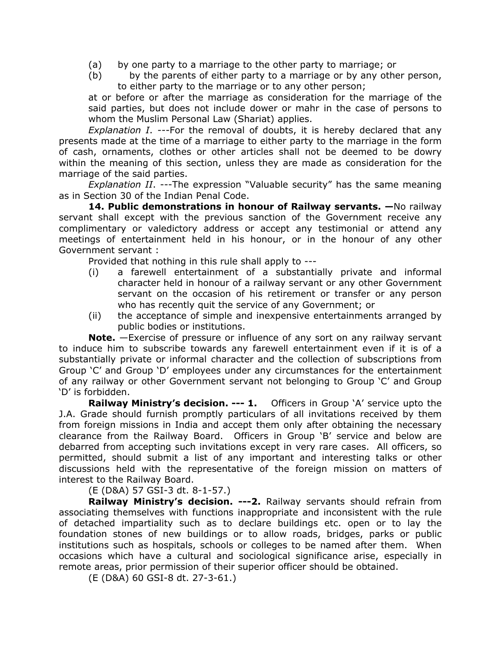- (a) by one party to a marriage to the other party to marriage; or
- (b) by the parents of either party to a marriage or by any other person, to either party to the marriage or to any other person;

at or before or after the marriage as consideration for the marriage of the said parties, but does not include dower or mahr in the case of persons to whom the Muslim Personal Law (Shariat) applies.

*Explanation I*. ---For the removal of doubts, it is hereby declared that any presents made at the time of a marriage to either party to the marriage in the form of cash, ornaments, clothes or other articles shall not be deemed to be dowry within the meaning of this section, unless they are made as consideration for the marriage of the said parties.

*Explanation II*. ---The expression "Valuable security" has the same meaning as in Section 30 of the Indian Penal Code.

**14. Public demonstrations in honour of Railway servants. —**No railway servant shall except with the previous sanction of the Government receive any complimentary or valedictory address or accept any testimonial or attend any meetings of entertainment held in his honour, or in the honour of any other Government servant :

Provided that nothing in this rule shall apply to ---

- (i) a farewell entertainment of a substantially private and informal character held in honour of a railway servant or any other Government servant on the occasion of his retirement or transfer or any person who has recently quit the service of any Government; or
- (ii) the acceptance of simple and inexpensive entertainments arranged by public bodies or institutions.

**Note.** —Exercise of pressure or influence of any sort on any railway servant to induce him to subscribe towards any farewell entertainment even if it is of a substantially private or informal character and the collection of subscriptions from Group 'C' and Group 'D' employees under any circumstances for the entertainment of any railway or other Government servant not belonging to Group 'C' and Group 'D' is forbidden.

**Railway Ministry's decision. --- 1.** Officers in Group 'A' service upto the J.A. Grade should furnish promptly particulars of all invitations received by them from foreign missions in India and accept them only after obtaining the necessary clearance from the Railway Board. Officers in Group 'B' service and below are debarred from accepting such invitations except in very rare cases. All officers, so permitted, should submit a list of any important and interesting talks or other discussions held with the representative of the foreign mission on matters of interest to the Railway Board.

(E (D&A) 57 GSI-3 dt. 8-1-57.)

**Railway Ministry's decision. ---2.** Railway servants should refrain from associating themselves with functions inappropriate and inconsistent with the rule of detached impartiality such as to declare buildings etc. open or to lay the foundation stones of new buildings or to allow roads, bridges, parks or public institutions such as hospitals, schools or colleges to be named after them. When occasions which have a cultural and sociological significance arise, especially in remote areas, prior permission of their superior officer should be obtained.

(E (D&A) 60 GSI-8 dt. 27-3-61.)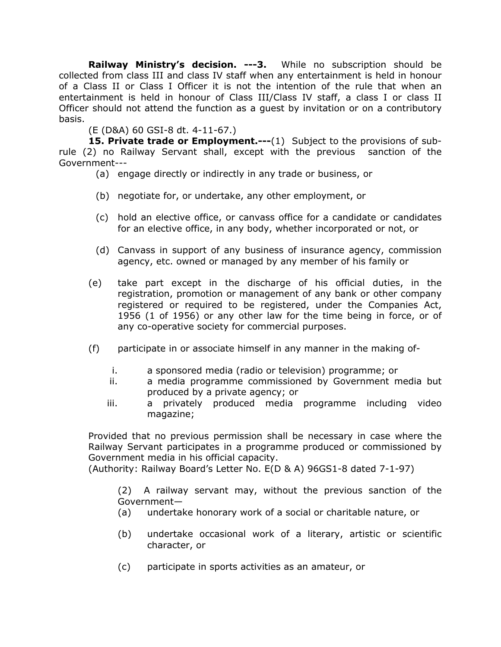**Railway Ministry's decision. ---3.** While no subscription should be collected from class III and class IV staff when any entertainment is held in honour of a Class II or Class I Officer it is not the intention of the rule that when an entertainment is held in honour of Class III/Class IV staff, a class I or class II Officer should not attend the function as a guest by invitation or on a contributory basis.

(E (D&A) 60 GSI-8 dt. 4-11-67.)

**15. Private trade or Employment.---**(1) Subject to the provisions of subrule (2) no Railway Servant shall, except with the previous sanction of the Government---

- (a) engage directly or indirectly in any trade or business, or
- (b) negotiate for, or undertake, any other employment, or
- (c) hold an elective office, or canvass office for a candidate or candidates for an elective office, in any body, whether incorporated or not, or
- (d) Canvass in support of any business of insurance agency, commission agency, etc. owned or managed by any member of his family or
- (e) take part except in the discharge of his official duties, in the registration, promotion or management of any bank or other company registered or required to be registered, under the Companies Act, 1956 (1 of 1956) or any other law for the time being in force, or of any co-operative society for commercial purposes.
- (f) participate in or associate himself in any manner in the making of
	- i. a sponsored media (radio or television) programme; or
	- ii. a media programme commissioned by Government media but produced by a private agency; or
	- iii. a privately produced media programme including video magazine;

Provided that no previous permission shall be necessary in case where the Railway Servant participates in a programme produced or commissioned by Government media in his official capacity.

(Authority: Railway Board's Letter No. E(D & A) 96GS1-8 dated 7-1-97)

(2) A railway servant may, without the previous sanction of the Government—

- (a) undertake honorary work of a social or charitable nature, or
- (b) undertake occasional work of a literary, artistic or scientific character, or
- (c) participate in sports activities as an amateur, or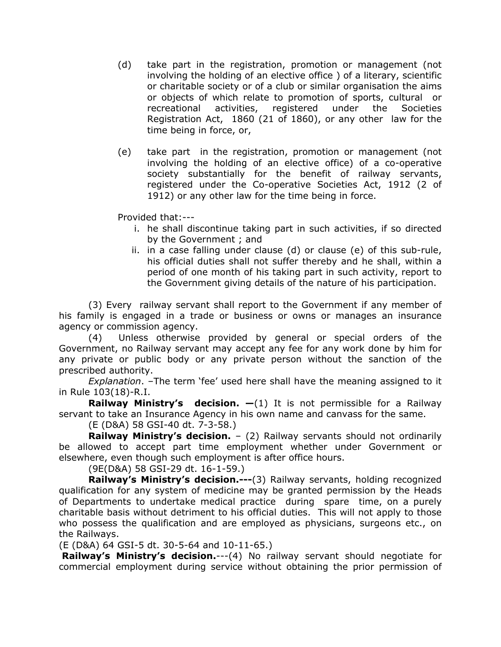- (d) take part in the registration, promotion or management (not involving the holding of an elective office ) of a literary, scientific or charitable society or of a club or similar organisation the aims or objects of which relate to promotion of sports, cultural or recreational activities, registered under the Societies Registration Act, 1860 (21 of 1860), or any other law for the time being in force, or,
- (e) take part in the registration, promotion or management (not involving the holding of an elective office) of a co-operative society substantially for the benefit of railway servants, registered under the Co-operative Societies Act, 1912 (2 of 1912) or any other law for the time being in force.

Provided that:---

- i. he shall discontinue taking part in such activities, if so directed by the Government ; and
- ii. in a case falling under clause (d) or clause (e) of this sub-rule, his official duties shall not suffer thereby and he shall, within a period of one month of his taking part in such activity, report to the Government giving details of the nature of his participation.

(3) Every railway servant shall report to the Government if any member of his family is engaged in a trade or business or owns or manages an insurance agency or commission agency.

(4) Unless otherwise provided by general or special orders of the Government, no Railway servant may accept any fee for any work done by him for any private or public body or any private person without the sanction of the prescribed authority.

*Explanation*. –The term 'fee' used here shall have the meaning assigned to it in Rule 103(18)-R.I.

**Railway Ministry's decision. —**(1) It is not permissible for a Railway servant to take an Insurance Agency in his own name and canvass for the same.

(E (D&A) 58 GSI-40 dt. 7-3-58.)

**Railway Ministry's decision.** – (2) Railway servants should not ordinarily be allowed to accept part time employment whether under Government or elsewhere, even though such employment is after office hours.

(9E(D&A) 58 GSI-29 dt. 16-1-59.)

**Railway's Ministry's decision.---**(3) Railway servants, holding recognized qualification for any system of medicine may be granted permission by the Heads of Departments to undertake medical practice during spare time, on a purely charitable basis without detriment to his official duties. This will not apply to those who possess the qualification and are employed as physicians, surgeons etc., on the Railways.

(E (D&A) 64 GSI-5 dt. 30-5-64 and 10-11-65.)

**Railway's Ministry's decision.**---(4) No railway servant should negotiate for commercial employment during service without obtaining the prior permission of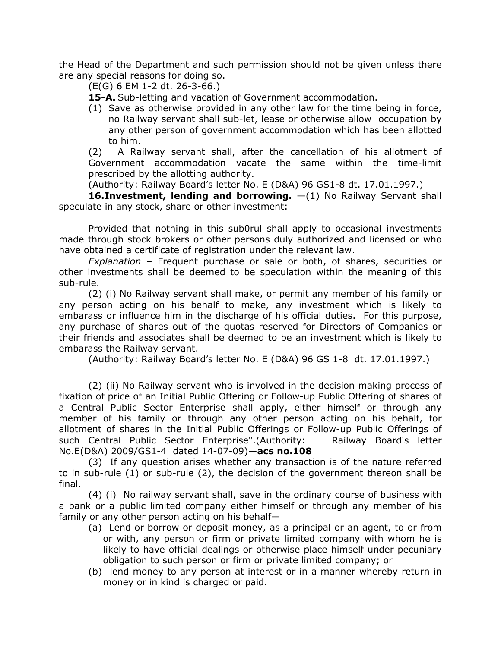the Head of the Department and such permission should not be given unless there are any special reasons for doing so.

(E(G) 6 EM 1-2 dt. 26-3-66.)

**15-A.** Sub-letting and vacation of Government accommodation.

(1) Save as otherwise provided in any other law for the time being in force, no Railway servant shall sub-let, lease or otherwise allow occupation by any other person of government accommodation which has been allotted to him.

(2) A Railway servant shall, after the cancellation of his allotment of Government accommodation vacate the same within the time-limit prescribed by the allotting authority.

(Authority: Railway Board's letter No. E (D&A) 96 GS1-8 dt. 17.01.1997.)

**16.Investment, lending and borrowing.** —(1) No Railway Servant shall speculate in any stock, share or other investment:

Provided that nothing in this sub0rul shall apply to occasional investments made through stock brokers or other persons duly authorized and licensed or who have obtained a certificate of registration under the relevant law.

*Explanation* – Frequent purchase or sale or both, of shares, securities or other investments shall be deemed to be speculation within the meaning of this sub-rule.

(2) (i) No Railway servant shall make, or permit any member of his family or any person acting on his behalf to make, any investment which is likely to embarass or influence him in the discharge of his official duties. For this purpose, any purchase of shares out of the quotas reserved for Directors of Companies or their friends and associates shall be deemed to be an investment which is likely to embarass the Railway servant.

(Authority: Railway Board's letter No. E (D&A) 96 GS 1-8 dt. 17.01.1997.)

(2) (ii) No Railway servant who is involved in the decision making process of fixation of price of an Initial Public Offering or Follow-up Public Offering of shares of a Central Public Sector Enterprise shall apply, either himself or through any member of his family or through any other person acting on his behalf, for allotment of shares in the Initial Public Offerings or Follow-up Public Offerings of such Central Public Sector Enterprise".(Authority: Railway Board's letter No.E(D&A) 2009/GS1-4 dated 14-07-09)—**acs no.108**

(3) If any question arises whether any transaction is of the nature referred to in sub-rule (1) or sub-rule (2), the decision of the government thereon shall be final.

(4) (i) No railway servant shall, save in the ordinary course of business with a bank or a public limited company either himself or through any member of his family or any other person acting on his behalf—

- (a) Lend or borrow or deposit money, as a principal or an agent, to or from or with, any person or firm or private limited company with whom he is likely to have official dealings or otherwise place himself under pecuniary obligation to such person or firm or private limited company; or
- (b) lend money to any person at interest or in a manner whereby return in money or in kind is charged or paid.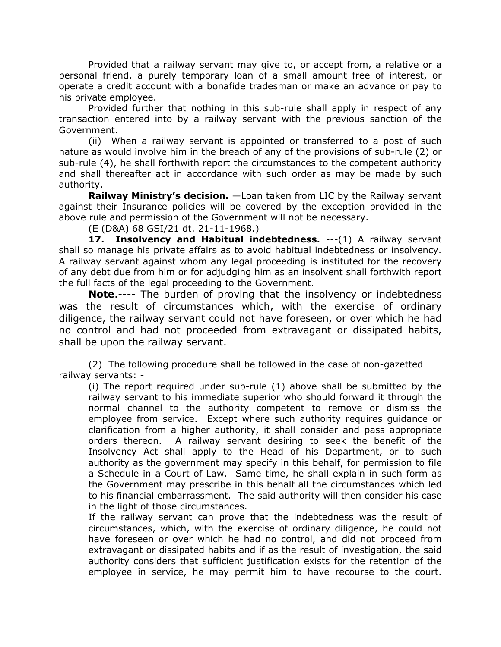Provided that a railway servant may give to, or accept from, a relative or a personal friend, a purely temporary loan of a small amount free of interest, or operate a credit account with a bonafide tradesman or make an advance or pay to his private employee.

Provided further that nothing in this sub-rule shall apply in respect of any transaction entered into by a railway servant with the previous sanction of the Government.

(ii) When a railway servant is appointed or transferred to a post of such nature as would involve him in the breach of any of the provisions of sub-rule (2) or sub-rule (4), he shall forthwith report the circumstances to the competent authority and shall thereafter act in accordance with such order as may be made by such authority.

**Railway Ministry's decision.** —Loan taken from LIC by the Railway servant against their Insurance policies will be covered by the exception provided in the above rule and permission of the Government will not be necessary.

(E (D&A) 68 GSI/21 dt. 21-11-1968.)

**17. Insolvency and Habitual indebtedness.** ---(1) A railway servant shall so manage his private affairs as to avoid habitual indebtedness or insolvency. A railway servant against whom any legal proceeding is instituted for the recovery of any debt due from him or for adjudging him as an insolvent shall forthwith report the full facts of the legal proceeding to the Government.

**Note**.---- The burden of proving that the insolvency or indebtedness was the result of circumstances which, with the exercise of ordinary diligence, the railway servant could not have foreseen, or over which he had no control and had not proceeded from extravagant or dissipated habits, shall be upon the railway servant.

(2) The following procedure shall be followed in the case of non-gazetted railway servants: -

(i) The report required under sub-rule (1) above shall be submitted by the railway servant to his immediate superior who should forward it through the normal channel to the authority competent to remove or dismiss the employee from service. Except where such authority requires guidance or clarification from a higher authority, it shall consider and pass appropriate orders thereon. A railway servant desiring to seek the benefit of the Insolvency Act shall apply to the Head of his Department, or to such authority as the government may specify in this behalf, for permission to file a Schedule in a Court of Law. Same time, he shall explain in such form as the Government may prescribe in this behalf all the circumstances which led to his financial embarrassment. The said authority will then consider his case in the light of those circumstances.

If the railway servant can prove that the indebtedness was the result of circumstances, which, with the exercise of ordinary diligence, he could not have foreseen or over which he had no control, and did not proceed from extravagant or dissipated habits and if as the result of investigation, the said authority considers that sufficient justification exists for the retention of the employee in service, he may permit him to have recourse to the court.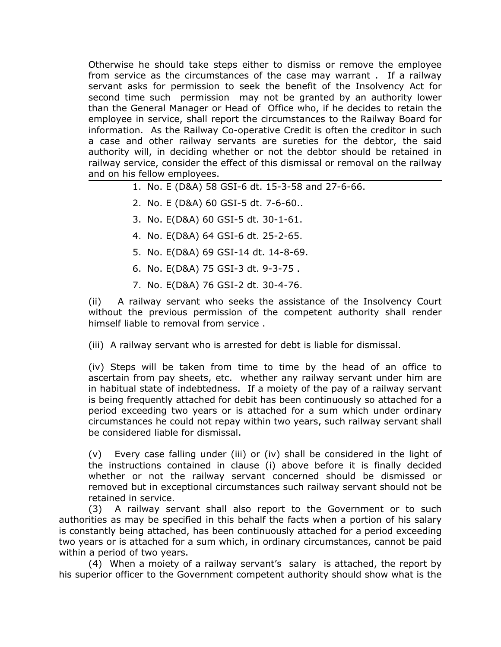Otherwise he should take steps either to dismiss or remove the employee from service as the circumstances of the case may warrant . If a railway servant asks for permission to seek the benefit of the Insolvency Act for second time such permission may not be granted by an authority lower than the General Manager or Head of Office who, if he decides to retain the employee in service, shall report the circumstances to the Railway Board for information. As the Railway Co-operative Credit is often the creditor in such a case and other railway servants are sureties for the debtor, the said authority will, in deciding whether or not the debtor should be retained in railway service, consider the effect of this dismissal or removal on the railway and on his fellow employees.

- 1. No. E (D&A) 58 GSI-6 dt. 15-3-58 and 27-6-66.
- 2. No. E (D&A) 60 GSI-5 dt. 7-6-60..
- 3. No. E(D&A) 60 GSI-5 dt. 30-1-61.
- 4. No. E(D&A) 64 GSI-6 dt. 25-2-65.
- 5. No. E(D&A) 69 GSI-14 dt. 14-8-69.
- 6. No. E(D&A) 75 GSI-3 dt. 9-3-75 .
- 7. No. E(D&A) 76 GSI-2 dt. 30-4-76.

(ii) A railway servant who seeks the assistance of the Insolvency Court without the previous permission of the competent authority shall render himself liable to removal from service .

(iii) A railway servant who is arrested for debt is liable for dismissal.

(iv) Steps will be taken from time to time by the head of an office to ascertain from pay sheets, etc. whether any railway servant under him are in habitual state of indebtedness. If a moiety of the pay of a railway servant is being frequently attached for debit has been continuously so attached for a period exceeding two years or is attached for a sum which under ordinary circumstances he could not repay within two years, such railway servant shall be considered liable for dismissal.

(v) Every case falling under (iii) or (iv) shall be considered in the light of the instructions contained in clause (i) above before it is finally decided whether or not the railway servant concerned should be dismissed or removed but in exceptional circumstances such railway servant should not be retained in service.

(3) A railway servant shall also report to the Government or to such authorities as may be specified in this behalf the facts when a portion of his salary is constantly being attached, has been continuously attached for a period exceeding two years or is attached for a sum which, in ordinary circumstances, cannot be paid within a period of two years.

(4) When a moiety of a railway servant's salary is attached, the report by his superior officer to the Government competent authority should show what is the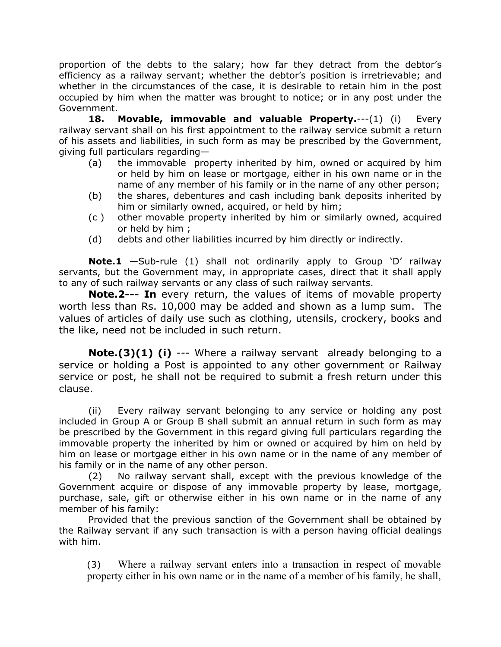proportion of the debts to the salary; how far they detract from the debtor's efficiency as a railway servant; whether the debtor's position is irretrievable; and whether in the circumstances of the case, it is desirable to retain him in the post occupied by him when the matter was brought to notice; or in any post under the Government.

**18. Movable, immovable and valuable Property.**---(1) (i) Every railway servant shall on his first appointment to the railway service submit a return of his assets and liabilities, in such form as may be prescribed by the Government, giving full particulars regarding—

- (a) the immovable property inherited by him, owned or acquired by him or held by him on lease or mortgage, either in his own name or in the name of any member of his family or in the name of any other person;
- (b) the shares, debentures and cash including bank deposits inherited by him or similarly owned, acquired, or held by him;
- (c ) other movable property inherited by him or similarly owned, acquired or held by him ;
- (d) debts and other liabilities incurred by him directly or indirectly.

**Note.1** —Sub-rule (1) shall not ordinarily apply to Group 'D' railway servants, but the Government may, in appropriate cases, direct that it shall apply to any of such railway servants or any class of such railway servants.

**Note.2--- In** every return, the values of items of movable property worth less than Rs. 10,000 may be added and shown as a lump sum. The values of articles of daily use such as clothing, utensils, crockery, books and the like, need not be included in such return.

**Note.(3)(1) (i)** --- Where a railway servant already belonging to a service or holding a Post is appointed to any other government or Railway service or post, he shall not be required to submit a fresh return under this clause.

(ii) Every railway servant belonging to any service or holding any post included in Group A or Group B shall submit an annual return in such form as may be prescribed by the Government in this regard giving full particulars regarding the immovable property the inherited by him or owned or acquired by him on held by him on lease or mortgage either in his own name or in the name of any member of his family or in the name of any other person.

(2) No railway servant shall, except with the previous knowledge of the Government acquire or dispose of any immovable property by lease, mortgage, purchase, sale, gift or otherwise either in his own name or in the name of any member of his family:

Provided that the previous sanction of the Government shall be obtained by the Railway servant if any such transaction is with a person having official dealings with him.

(3) Where a railway servant enters into a transaction in respect of movable property either in his own name or in the name of a member of his family, he shall,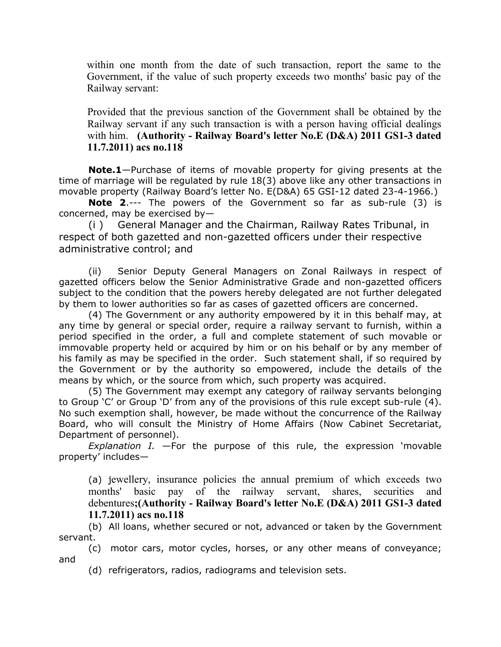within one month from the date of such transaction, report the same to the Government, if the value of such property exceeds two months' basic pay of the Railway servant:

Provided that the previous sanction of the Government shall be obtained by the Railway servant if any such transaction is with a person having official dealings with him. **(Authority - Railway Board's letter No.E (D&A) 2011 GS1-3 dated 11.7.2011) acs no.118**

**Note.1**—Purchase of items of movable property for giving presents at the time of marriage will be regulated by rule 18(3) above like any other transactions in movable property (Railway Board's letter No. E(D&A) 65 GSI-12 dated 23-4-1966.)

**Note 2**.--- The powers of the Government so far as sub-rule (3) is concerned, may be exercised by—

(i ) General Manager and the Chairman, Railway Rates Tribunal, in respect of both gazetted and non-gazetted officers under their respective administrative control; and

(ii) Senior Deputy General Managers on Zonal Railways in respect of gazetted officers below the Senior Administrative Grade and non-gazetted officers subject to the condition that the powers hereby delegated are not further delegated by them to lower authorities so far as cases of gazetted officers are concerned.

(4) The Government or any authority empowered by it in this behalf may, at any time by general or special order, require a railway servant to furnish, within a period specified in the order, a full and complete statement of such movable or immovable property held or acquired by him or on his behalf or by any member of his family as may be specified in the order. Such statement shall, if so required by the Government or by the authority so empowered, include the details of the means by which, or the source from which, such property was acquired.

(5) The Government may exempt any category of railway servants belonging to Group 'C' or Group 'D' from any of the provisions of this rule except sub-rule (4). No such exemption shall, however, be made without the concurrence of the Railway Board, who will consult the Ministry of Home Affairs (Now Cabinet Secretariat, Department of personnel).

*Explanation I.* —For the purpose of this rule, the expression 'movable property' includes—

(a) jewellery, insurance policies the annual premium of which exceeds two months' basic pay of the railway servant, shares, securities and debentures**;(Authority - Railway Board's letter No.E (D&A) 2011 GS1-3 dated 11.7.2011) acs no.118**

(b) All loans, whether secured or not, advanced or taken by the Government servant.

(c) motor cars, motor cycles, horses, or any other means of conveyance; and

(d) refrigerators, radios, radiograms and television sets.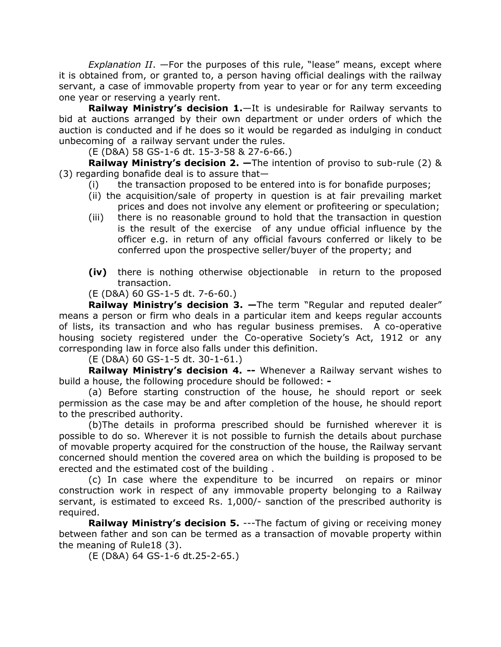*Explanation II*. —For the purposes of this rule, "lease" means, except where it is obtained from, or granted to, a person having official dealings with the railway servant, a case of immovable property from year to year or for any term exceeding one year or reserving a yearly rent.

**Railway Ministry's decision 1.**—It is undesirable for Railway servants to bid at auctions arranged by their own department or under orders of which the auction is conducted and if he does so it would be regarded as indulging in conduct unbecoming of a railway servant under the rules.

(E (D&A) 58 GS-1-6 dt. 15-3-58 & 27-6-66.)

**Railway Ministry's decision 2. —**The intention of proviso to sub-rule (2) & (3) regarding bonafide deal is to assure that—

- (i) the transaction proposed to be entered into is for bonafide purposes;
- (ii) the acquisition/sale of property in question is at fair prevailing market prices and does not involve any element or profiteering or speculation;
- (iii) there is no reasonable ground to hold that the transaction in question is the result of the exercise of any undue official influence by the officer e.g. in return of any official favours conferred or likely to be conferred upon the prospective seller/buyer of the property; and
- **(iv)** there is nothing otherwise objectionable in return to the proposed transaction.
- (E (D&A) 60 GS-1-5 dt. 7-6-60.)

**Railway Ministry's decision 3. —**The term "Regular and reputed dealer" means a person or firm who deals in a particular item and keeps regular accounts of lists, its transaction and who has regular business premises. A co-operative housing society registered under the Co-operative Society's Act, 1912 or any corresponding law in force also falls under this definition.

(E (D&A) 60 GS-1-5 dt. 30-1-61.)

**Railway Ministry's decision 4. --** Whenever a Railway servant wishes to build a house, the following procedure should be followed: **-**

(a) Before starting construction of the house, he should report or seek permission as the case may be and after completion of the house, he should report to the prescribed authority.

(b)The details in proforma prescribed should be furnished wherever it is possible to do so. Wherever it is not possible to furnish the details about purchase of movable property acquired for the construction of the house, the Railway servant concerned should mention the covered area on which the building is proposed to be erected and the estimated cost of the building .

(c) In case where the expenditure to be incurred on repairs or minor construction work in respect of any immovable property belonging to a Railway servant, is estimated to exceed Rs. 1,000/- sanction of the prescribed authority is required.

**Railway Ministry's decision 5.** ---The factum of giving or receiving money between father and son can be termed as a transaction of movable property within the meaning of Rule18 (3).

(E (D&A) 64 GS-1-6 dt.25-2-65.)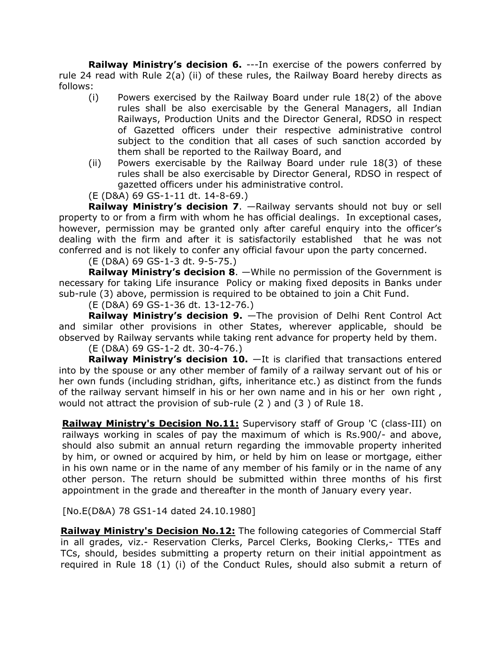**Railway Ministry's decision 6.** ---In exercise of the powers conferred by rule 24 read with Rule 2(a) (ii) of these rules, the Railway Board hereby directs as follows:

- (i) Powers exercised by the Railway Board under rule 18(2) of the above rules shall be also exercisable by the General Managers, all Indian Railways, Production Units and the Director General, RDSO in respect of Gazetted officers under their respective administrative control subject to the condition that all cases of such sanction accorded by them shall be reported to the Railway Board, and
- (ii) Powers exercisable by the Railway Board under rule 18(3) of these rules shall be also exercisable by Director General, RDSO in respect of gazetted officers under his administrative control.
- (E (D&A) 69 GS-1-11 dt. 14-8-69.)

**Railway Ministry's decision 7**. —Railway servants should not buy or sell property to or from a firm with whom he has official dealings. In exceptional cases, however, permission may be granted only after careful enquiry into the officer's dealing with the firm and after it is satisfactorily established that he was not conferred and is not likely to confer any official favour upon the party concerned.

(E (D&A) 69 GS-1-3 dt. 9-5-75.)

**Railway Ministry's decision 8**. —While no permission of the Government is necessary for taking Life insurance Policy or making fixed deposits in Banks under sub-rule (3) above, permission is required to be obtained to join a Chit Fund.

(E (D&A) 69 GS-1-36 dt. 13-12-76.)

**Railway Ministry's decision 9.** —The provision of Delhi Rent Control Act and similar other provisions in other States, wherever applicable, should be observed by Railway servants while taking rent advance for property held by them.

(E (D&A) 69 GS-1-2 dt. 30-4-76.)

**Railway Ministry's decision 10.** —It is clarified that transactions entered into by the spouse or any other member of family of a railway servant out of his or her own funds (including stridhan, gifts, inheritance etc.) as distinct from the funds of the railway servant himself in his or her own name and in his or her own right , would not attract the provision of sub-rule (2 ) and (3 ) of Rule 18.

**Railway Ministry's Decision No.11:** Supervisory staff of Group 'C (class-III) on railways working in scales of pay the maximum of which is Rs.900/- and above, should also submit an annual return regarding the immovable property inherited by him, or owned or acquired by him, or held by him on lease or mortgage, either in his own name or in the name of any member of his family or in the name of any other person. The return should be submitted within three months of his first appointment in the grade and thereafter in the month of January every year.

[No.E(D&A) 78 GS1-14 dated 24.10.1980]

**Railway Ministry's Decision No.12:** The following categories of Commercial Staff in all grades, viz.- Reservation Clerks, Parcel Clerks, Booking Clerks,- TTEs and TCs, should, besides submitting a property return on their initial appointment as required in Rule 18 (1) (i) of the Conduct Rules, should also submit a return of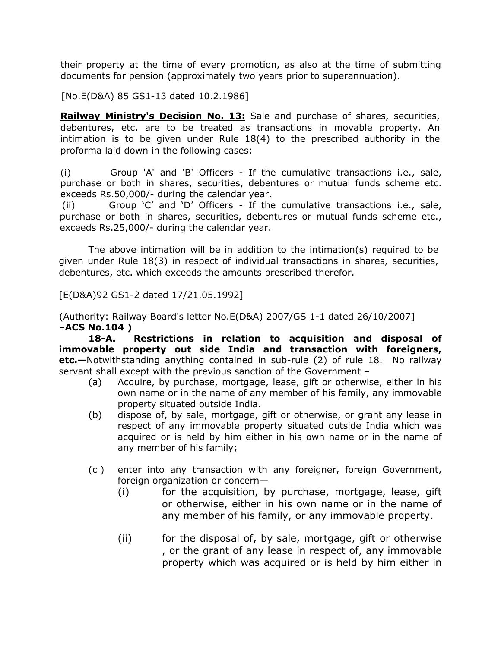their property at the time of every promotion, as also at the time of submitting documents for pension (approximately two years prior to superannuation).

[No.E(D&A) 85 GS1-13 dated 10.2.1986]

**Railway Ministry's Decision No. 13:** Sale and purchase of shares, securities, debentures, etc. are to be treated as transactions in movable property. An intimation is to be given under Rule 18(4) to the prescribed authority in the proforma laid down in the following cases:

(i) Group 'A' and 'B' Officers - If the cumulative transactions i.e., sale, purchase or both in shares, securities, debentures or mutual funds scheme etc. exceeds Rs.50,000/- during the calendar year.

(ii) Group 'C' and 'D' Officers - If the cumulative transactions i.e., sale, purchase or both in shares, securities, debentures or mutual funds scheme etc., exceeds Rs.25,000/- during the calendar year.

The above intimation will be in addition to the intimation(s) required to be given under Rule 18(3) in respect of individual transactions in shares, securities, debentures, etc. which exceeds the amounts prescribed therefor.

[E(D&A)92 GS1-2 dated 17/21.05.1992]

(Authority: Railway Board's letter No.E(D&A) 2007/GS 1-1 dated 26/10/2007] –**ACS No.104 )**

**18-A. Restrictions in relation to acquisition and disposal of immovable property out side India and transaction with foreigners, etc.—**Notwithstanding anything contained in sub-rule (2) of rule 18. No railway servant shall except with the previous sanction of the Government –

- (a) Acquire, by purchase, mortgage, lease, gift or otherwise, either in his own name or in the name of any member of his family, any immovable property situated outside India.
- (b) dispose of, by sale, mortgage, gift or otherwise, or grant any lease in respect of any immovable property situated outside India which was acquired or is held by him either in his own name or in the name of any member of his family;
- (c ) enter into any transaction with any foreigner, foreign Government, foreign organization or concern—
	- (i) for the acquisition, by purchase, mortgage, lease, gift or otherwise, either in his own name or in the name of any member of his family, or any immovable property.
	- (ii) for the disposal of, by sale, mortgage, gift or otherwise , or the grant of any lease in respect of, any immovable property which was acquired or is held by him either in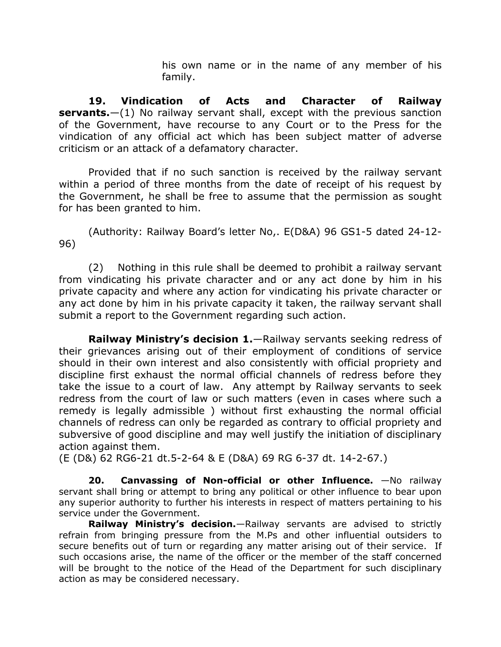his own name or in the name of any member of his family.

**19. Vindication of Acts and Character of Railway servants.**—(1) No railway servant shall, except with the previous sanction of the Government, have recourse to any Court or to the Press for the vindication of any official act which has been subject matter of adverse criticism or an attack of a defamatory character.

Provided that if no such sanction is received by the railway servant within a period of three months from the date of receipt of his request by the Government, he shall be free to assume that the permission as sought for has been granted to him.

(Authority: Railway Board's letter No,. E(D&A) 96 GS1-5 dated 24-12- 96)

(2) Nothing in this rule shall be deemed to prohibit a railway servant from vindicating his private character and or any act done by him in his private capacity and where any action for vindicating his private character or any act done by him in his private capacity it taken, the railway servant shall submit a report to the Government regarding such action.

**Railway Ministry's decision 1.**—Railway servants seeking redress of their grievances arising out of their employment of conditions of service should in their own interest and also consistently with official propriety and discipline first exhaust the normal official channels of redress before they take the issue to a court of law. Any attempt by Railway servants to seek redress from the court of law or such matters (even in cases where such a remedy is legally admissible ) without first exhausting the normal official channels of redress can only be regarded as contrary to official propriety and subversive of good discipline and may well justify the initiation of disciplinary action against them.

(E (D&) 62 RG6-21 dt.5-2-64 & E (D&A) 69 RG 6-37 dt. 14-2-67.)

**20. Canvassing of Non-official or other Influence.** —No railway servant shall bring or attempt to bring any political or other influence to bear upon any superior authority to further his interests in respect of matters pertaining to his service under the Government.

**Railway Ministry's decision.**—Railway servants are advised to strictly refrain from bringing pressure from the M.Ps and other influential outsiders to secure benefits out of turn or regarding any matter arising out of their service. If such occasions arise, the name of the officer or the member of the staff concerned will be brought to the notice of the Head of the Department for such disciplinary action as may be considered necessary.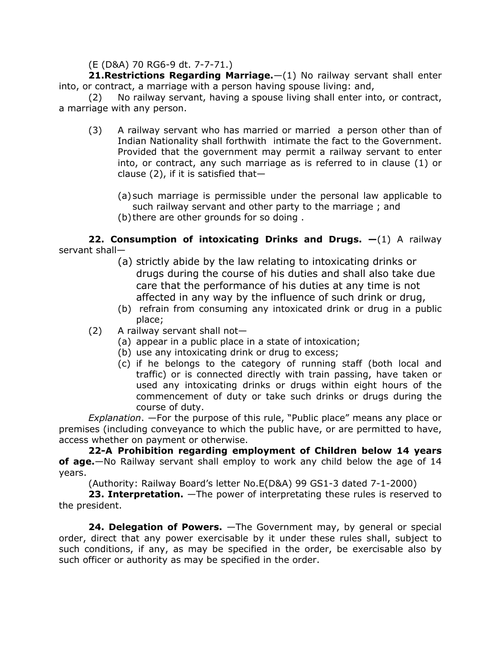### (E (D&A) 70 RG6-9 dt. 7-7-71.)

**21.Restrictions Regarding Marriage.**—(1) No railway servant shall enter into, or contract, a marriage with a person having spouse living: and,

(2) No railway servant, having a spouse living shall enter into, or contract, a marriage with any person.

- (3) A railway servant who has married or married a person other than of Indian Nationality shall forthwith intimate the fact to the Government. Provided that the government may permit a railway servant to enter into, or contract, any such marriage as is referred to in clause (1) or clause  $(2)$ , if it is satisfied that-
	- (a)such marriage is permissible under the personal law applicable to such railway servant and other party to the marriage ; and
	- (b)there are other grounds for so doing .

### **22. Consumption of intoxicating Drinks and Drugs. —**(1) A railway servant shall—

- (a) strictly abide by the law relating to intoxicating drinks or drugs during the course of his duties and shall also take due care that the performance of his duties at any time is not affected in any way by the influence of such drink or drug,
- (b) refrain from consuming any intoxicated drink or drug in a public place;
- (2) A railway servant shall not—
	- (a) appear in a public place in a state of intoxication;
	- (b) use any intoxicating drink or drug to excess;
	- (c) if he belongs to the category of running staff (both local and traffic) or is connected directly with train passing, have taken or used any intoxicating drinks or drugs within eight hours of the commencement of duty or take such drinks or drugs during the course of duty.

*Explanation*. —For the purpose of this rule, "Public place" means any place or premises (including conveyance to which the public have, or are permitted to have, access whether on payment or otherwise.

**22-A Prohibition regarding employment of Children below 14 years of age.**—No Railway servant shall employ to work any child below the age of 14 years.

(Authority: Railway Board's letter No.E(D&A) 99 GS1-3 dated 7-1-2000)

**23. Interpretation.** —The power of interpretating these rules is reserved to the president.

**24. Delegation of Powers.** —The Government may, by general or special order, direct that any power exercisable by it under these rules shall, subject to such conditions, if any, as may be specified in the order, be exercisable also by such officer or authority as may be specified in the order.